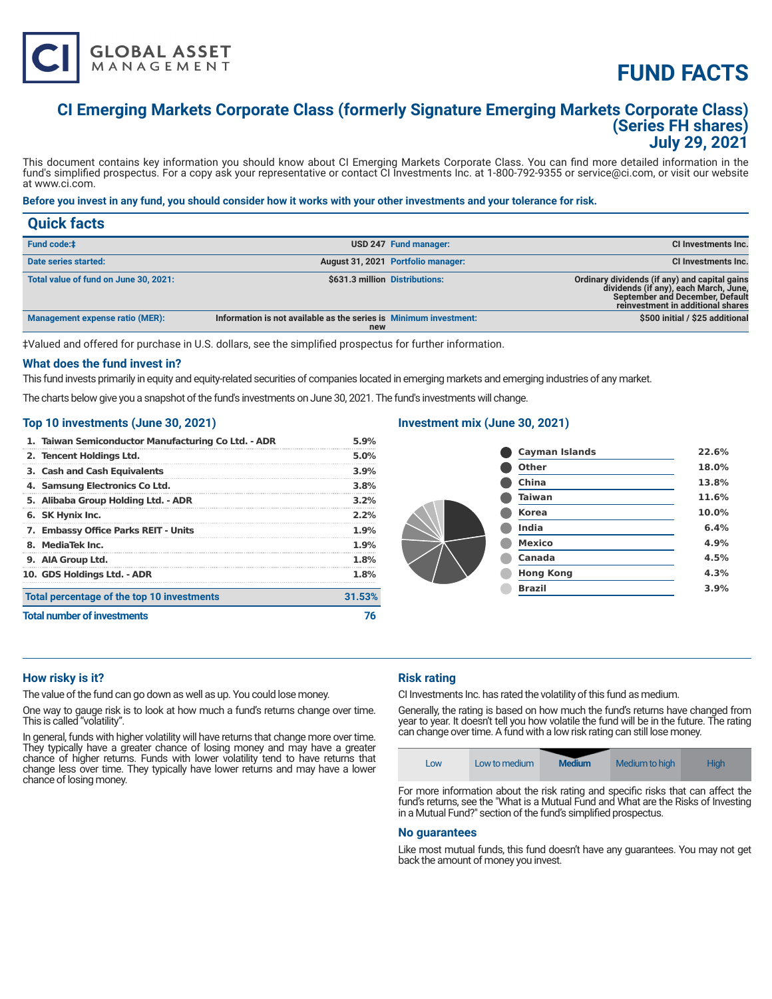# **FUND FACTS**

# **CI Emerging Markets Corporate Class (formerly Signature Emerging Markets Corporate Class) (Series FH shares) July 29, 2021**

This document contains key information you should know about CI Emerging Markets Corporate Class. You can find more detailed information in the fund's simplified prospectus. For a copy ask your representative or contact CI Investments Inc. at 1-800-792-9355 or service@ci.com, or visit our website at www.ci.com.

# **Before you invest in any fund, you should consider how it works with your other investments and your tolerance for risk.**

| <b>Quick facts</b>                     |                                                                          |                                    |                                                                                                                                                                |
|----------------------------------------|--------------------------------------------------------------------------|------------------------------------|----------------------------------------------------------------------------------------------------------------------------------------------------------------|
| <b>Fund code:#</b>                     |                                                                          | USD 247 Fund manager:              | <b>CI Investments Inc.</b>                                                                                                                                     |
| Date series started:                   |                                                                          | August 31, 2021 Portfolio manager: | CI Investments Inc.                                                                                                                                            |
| Total value of fund on June 30, 2021:  | \$631.3 million Distributions:                                           |                                    | Ordinary dividends (if any) and capital gains<br>dividends (if any), each March, June,<br>September and December, Default<br>reinvestment in additional shares |
| <b>Management expense ratio (MER):</b> | Information is not available as the series is Minimum investment:<br>new |                                    | \$500 initial / \$25 additional                                                                                                                                |

‡Valued and offered for purchase in U.S. dollars, see the simplified prospectus for further information.

#### **What does the fund invest in?**

This fund invests primarily in equity and equity-related securities of companies located in emerging markets and emerging industries of any market.

The charts below give you a snapshot of the fund's investments on June 30, 2021. The fund's investments will change.

#### **Top 10 investments (June 30, 2021)**

**GLOBAL ASSET**<br>MANAGEMENT

| <b>Total number of investments</b>                  |                                            | 76      |
|-----------------------------------------------------|--------------------------------------------|---------|
|                                                     | Total percentage of the top 10 investments | 31.53%  |
|                                                     | 10. GDS Holdings Ltd. - ADR                | 1.8%    |
|                                                     | 9. AIA Group Ltd.                          | 1.8%    |
|                                                     | 8. MediaTek Inc.                           | $1.9\%$ |
|                                                     | 7. Embassy Office Parks REIT - Units       | 1.9%    |
|                                                     | 6. SK Hynix Inc.                           | $2.2\%$ |
|                                                     | 5. Alibaba Group Holding Ltd. - ADR        | 3.2%    |
|                                                     | 4. Samsung Electronics Co Ltd.             | 3.8%    |
|                                                     | 3. Cash and Cash Equivalents               | 3.9%    |
|                                                     | 2. Tencent Holdings Ltd.                   | 5.0%    |
| 1. Taiwan Semiconductor Manufacturing Co Ltd. - ADR |                                            | 5.9%    |

# **Investment mix (June 30, 2021)**

| Cayman Islands   | 22.6% |
|------------------|-------|
| Other            | 18.0% |
| China            | 13.8% |
| <b>Taiwan</b>    | 11.6% |
| <b>Korea</b>     | 10.0% |
| India            | 6.4%  |
| <b>Mexico</b>    | 4.9%  |
| Canada           | 4.5%  |
| <b>Hong Kong</b> | 4.3%  |
| <b>Brazil</b>    | 3.9%  |
|                  |       |

#### **How risky is it?**

The value of the fund can go down as well as up. You could lose money.

One way to gauge risk is to look at how much a fund's returns change over time. This is called "volatility".

In general, funds with higher volatility will have returns that change more over time. They typically have a greater chance of losing money and may have a greater chance of higher returns. Funds with lower volatility tend to have returns that change less over time. They typically have lower returns and may have a lower chance of losing money.

# **Risk rating**

CI Investments Inc. has rated the volatility of this fund as medium.

Generally, the rating is based on how much the fund's returns have changed from year to year. It doesn't tell you how volatile the fund will be in the future. The rating can change over time. A fund with a low risk rating can still lose money.



For more information about the risk rating and specific risks that can affect the fund's returns, see the "What is a Mutual Fund and What are the Risks of Investing in a Mutual Fund?" section of the fund's simplified prospectus.

#### **No guarantees**

Like most mutual funds, this fund doesn't have any guarantees. You may not get back the amount of money you invest.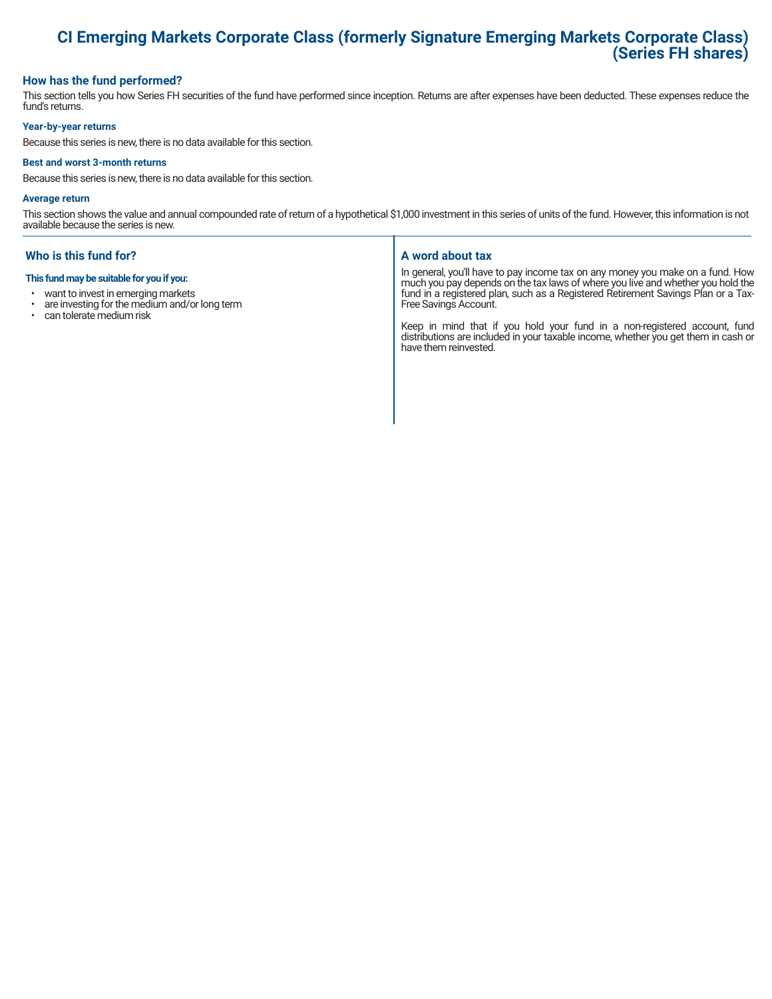# **CI Emerging Markets Corporate Class (formerly Signature Emerging Markets Corporate Class) (Series FH shares)**

# **How has the fund performed?**

This section tells you how Series FH securities of the fund have performed since inception. Returns are after expenses have been deducted. These expenses reduce the fund's returns.

#### **Year-by-year returns**

Because this series is new, there is no data available for this section.

#### **Best and worst 3-month returns**

Because this series is new, there is no data available for this section.

#### **Average return**

This section shows the value and annual compounded rate of return of a hypothetical \$1,000 investment in this series of units of the fund. However, this information is not available because the series is new.

# **Who is this fund for?**

#### **This fund may be suitable for you if you:**

- want to invest in emerging markets
- are investing for the medium and/or long term<br>• can tolerate medium risk
- can tolerate medium risk

#### **A word about tax**

In general, you'll have to pay income tax on any money you make on a fund. How much you pay depends on the tax laws of where you live and whether you hold the fund in a registered plan, such as a Registered Retirement Savings Plan or a Tax-Free Savings Account.

Keep in mind that if you hold your fund in a non-registered account, fund distributions are included in your taxable income, whether you get them in cash or have them reinvested.